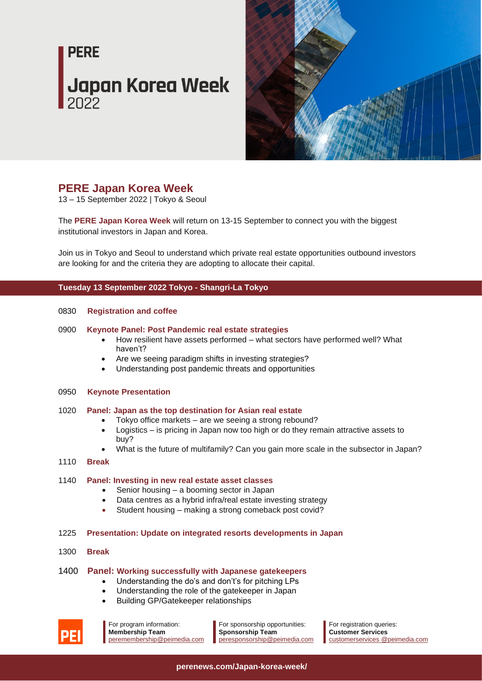# **PERE Japan Korea Week**



### **PERE Japan Korea Week**

13 – 15 September 2022 | Tokyo & Seoul

The **PERE Japan Korea Week** will return on 13-15 September to connect you with the biggest institutional investors in Japan and Korea.

Join us in Tokyo and Seoul to understand which private real estate opportunities outbound investors are looking for and the criteria they are adopting to allocate their capital.

#### **Tuesday 13 September 2022 Tokyo - Shangri-La Tokyo**

#### 0830 **Registration and coffee**

#### 0900 **Keynote Panel: Post Pandemic real estate strategies**

- How resilient have assets performed what sectors have performed well? What haven't?
- Are we seeing paradigm shifts in investing strategies?
- Understanding post pandemic threats and opportunities

#### 0950 **Keynote Presentation**

#### 1020 **Panel: Japan as the top destination for Asian real estate**

- Tokyo office markets are we seeing a strong rebound?
- Logistics is pricing in Japan now too high or do they remain attractive assets to buy?
- What is the future of multifamily? Can you gain more scale in the subsector in Japan?

#### 1110 **Break**

#### 1140 **Panel: Investing in new real estate asset classes**

- Senior housing a booming sector in Japan
- Data centres as a hybrid infra/real estate investing strategy
- Student housing making a strong comeback post covid?
- 1225 **Presentation: Update on integrated resorts developments in Japan**
- 1300 **Break**

#### 1400 **Panel: Working successfully with Japanese gatekeepers**

- Understanding the do's and don't's for pitching LPs
- Understanding the role of the gatekeeper in Japan
- Building GP/Gatekeeper relationships



For sponsorship opportunities: **Sponsorship Team** [peresponsorship@peimedia.com](mailto:peresponsorship@peimedia.com)

For registration queries: **Customer Services** [customerservices @peimedia.com](mailto:asiaevents@peimedia.com)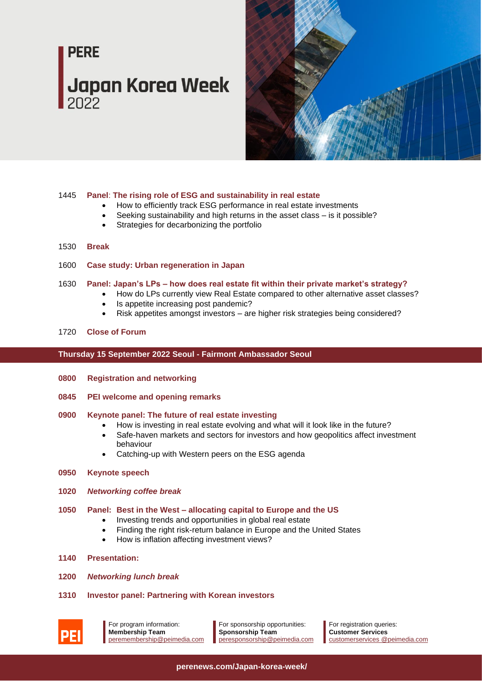## **PERE Japan Korea Week**



#### 1445 **Panel**: **The rising role of ESG and sustainability in real estate**

- How to efficiently track ESG performance in real estate investments
- Seeking sustainability and high returns in the asset class is it possible?
- Strategies for decarbonizing the portfolio

#### 1530 **Break**

- 1600 **Case study: Urban regeneration in Japan**
- 1630 **Panel: Japan's LPs – how does real estate fit within their private market's strategy?**
	- How do LPs currently view Real Estate compared to other alternative asset classes?
		- Is appetite increasing post pandemic?
		- Risk appetites amongst investors are higher risk strategies being considered?

#### 1720 **Close of Forum**

#### **Thursday 15 September 2022 Seoul - Fairmont Ambassador Seoul**

- **0800 Registration and networking**
- **0845 PEI welcome and opening remarks**

#### **0900 Keynote panel: The future of real estate investing**

- How is investing in real estate evolving and what will it look like in the future?
- Safe-haven markets and sectors for investors and how geopolitics affect investment behaviour
- Catching-up with Western peers on the ESG agenda
- **0950 Keynote speech**
- **1020** *Networking coffee break*
- **1050 Panel: Best in the West – allocating capital to Europe and the US**
	- Investing trends and opportunities in global real estate
		- Finding the right risk-return balance in Europe and the United States
		- How is inflation affecting investment views?
- **1140 Presentation:**
- **1200** *Networking lunch break*
- **1310 Investor panel: Partnering with Korean investors**



For program information: **Membership Team** [peremembership@peimedia.com](mailto:peremembership@peimedia.com)

For sponsorship opportunities: **Sponsorship Team** [peresponsorship@peimedia.com](mailto:peresponsorship@peimedia.com)

For registration queries: **Customer Services** [customerservices @peimedia.com](mailto:asiaevents@peimedia.com)